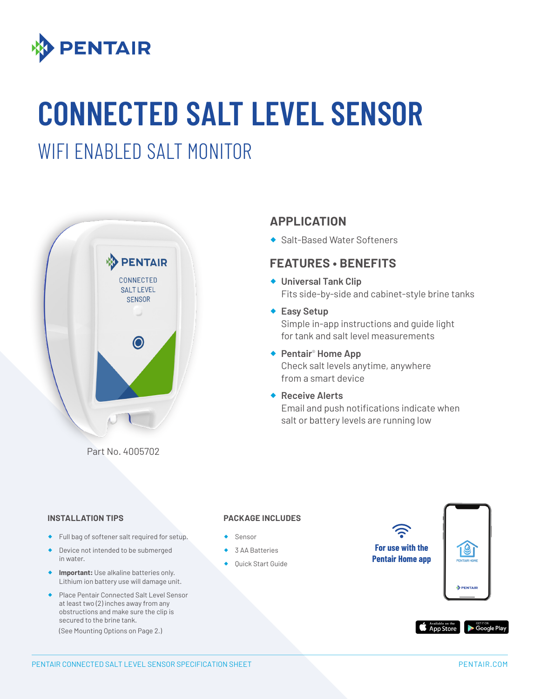

# **CONNECTED SALT LEVEL SENSOR**

### WIFI ENABLED SALT MONITOR



**APPLICATION** 

◆ Salt-Based Water Softeners

#### **FEATURES • BENEFITS**

- ® **Universal Tank Clip** Fits side-by-side and cabinet-style brine tanks
- ◆ Easy Setup Simple in-app instructions and guide light for tank and salt level measurements
- ◆ **Pentair<sup>®</sup> Home App** Check salt levels anytime, anywhere from a smart device
- ® **Receive Alerts** Email and push notifications indicate when salt or battery levels are running low

#### **INSTALLATION TIPS**

- ® Full bag of softener salt required for setup.
- ® Device not intended to be submerged in water.
- ® **Important:** Use alkaline batteries only. Lithium ion battery use will damage unit.
- ® Place Pentair Connected Salt Level Sensor at least two (2) inches away from any obstructions and make sure the clip is secured to the brine tank.

(See Mounting Options on Page 2.)

#### **PACKAGE INCLUDES**

- ® Sensor
- 3 AA Batteries
- ◆ Quick Start Guide

**For use with the Pentair Home app**